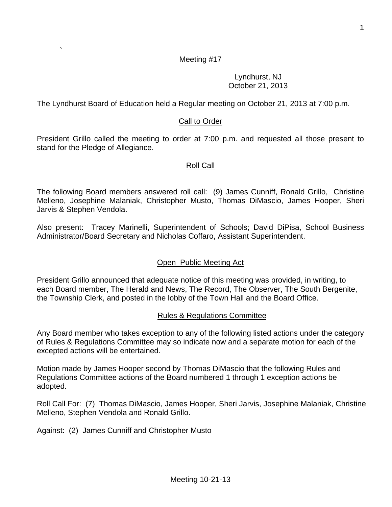### Meeting #17

#### Lyndhurst, NJ October 21, 2013

The Lyndhurst Board of Education held a Regular meeting on October 21, 2013 at 7:00 p.m.

## Call to Order

President Grillo called the meeting to order at 7:00 p.m. and requested all those present to stand for the Pledge of Allegiance.

### Roll Call

The following Board members answered roll call: (9) James Cunniff, Ronald Grillo, Christine Melleno, Josephine Malaniak, Christopher Musto, Thomas DiMascio, James Hooper, Sheri Jarvis & Stephen Vendola.

Also present: Tracey Marinelli, Superintendent of Schools; David DiPisa, School Business Administrator/Board Secretary and Nicholas Coffaro, Assistant Superintendent.

# Open Public Meeting Act

President Grillo announced that adequate notice of this meeting was provided, in writing, to each Board member, The Herald and News, The Record, The Observer, The South Bergenite, the Township Clerk, and posted in the lobby of the Town Hall and the Board Office.

### Rules & Regulations Committee

Any Board member who takes exception to any of the following listed actions under the category of Rules & Regulations Committee may so indicate now and a separate motion for each of the excepted actions will be entertained.

Motion made by James Hooper second by Thomas DiMascio that the following Rules and Regulations Committee actions of the Board numbered 1 through 1 exception actions be adopted.

Roll Call For: (7) Thomas DiMascio, James Hooper, Sheri Jarvis, Josephine Malaniak, Christine Melleno, Stephen Vendola and Ronald Grillo.

Against: (2) James Cunniff and Christopher Musto

`